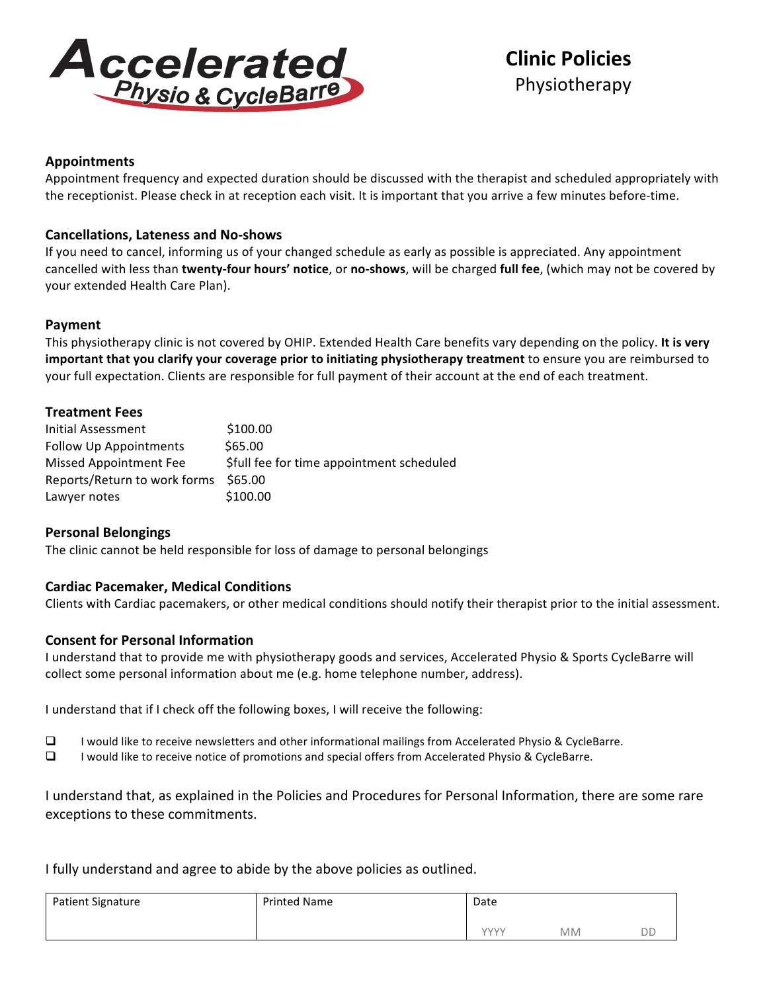

# **Clinic Policies** Physiotherapy

# **Appointments**

Appointment frequency and expected duration should be discussed with the therapist and scheduled appropriately with the receptionist. Please check in at reception each visit. It is important that you arrive a few minutes before-time.

# **Cancellations, Lateness and No-shows**

If you need to cancel, informing us of your changed schedule as early as possible is appreciated. Any appointment cancelled with less than *twenty-four hours' notice*, or no-shows, will be charged *full fee*, (which may not be covered by your extended Health Care Plan).

# **Payment**

This physiotherapy clinic is not covered by OHIP. Extended Health Care benefits vary depending on the policy. It is very **important that you clarify your coverage prior to initiating physiotherapy treatment** to ensure you are reimbursed to your full expectation. Clients are responsible for full payment of their account at the end of each treatment.

# **Treatment Fees**

| Initial Assessment            | \$100.00                                  |
|-------------------------------|-------------------------------------------|
| <b>Follow Up Appointments</b> | \$65.00                                   |
| <b>Missed Appointment Fee</b> | \$full fee for time appointment scheduled |
| Reports/Return to work forms  | \$65.00                                   |
| Lawyer notes                  | \$100.00                                  |

# **Personal Belongings**

The clinic cannot be held responsible for loss of damage to personal belongings

# **Cardiac Pacemaker, Medical Conditions**

Clients with Cardiac pacemakers, or other medical conditions should notify their therapist prior to the initial assessment.

# **Consent for Personal Information**

I understand that to provide me with physiotherapy goods and services, Accelerated Physio & Sports CycleBarre will collect some personal information about me (e.g. home telephone number, address).

I understand that if I check off the following boxes, I will receive the following:

- $\Box$  I would like to receive newsletters and other informational mailings from Accelerated Physio & CycleBarre.
- $\Box$  I would like to receive notice of promotions and special offers from Accelerated Physio & CycleBarre.

I understand that, as explained in the Policies and Procedures for Personal Information, there are some rare exceptions to these commitments.

I fully understand and agree to abide by the above policies as outlined.

| <b>Patient Signature</b> | <b>Printed Name</b> | Date        |           |    |
|--------------------------|---------------------|-------------|-----------|----|
|                          |                     | <b>VVVV</b> | <b>MM</b> | DD |